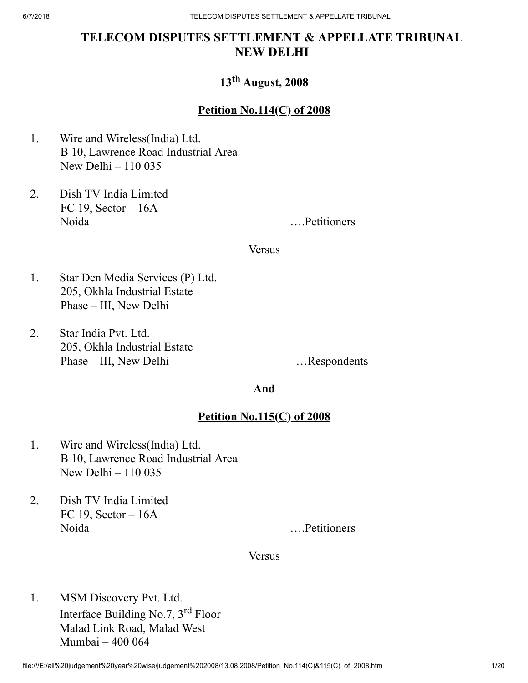# TELECOM DISPUTES SETTLEMENT & APPELLATE TRIBUNAL NEW DELHI

# 13<sup>th</sup> August, 2008

# Petition No.114(C) of 2008

- 1. Wire and Wireless(India) Ltd. B 10, Lawrence Road Industrial Area New Delhi – 110 035
- 2. Dish TV India Limited FC 19, Sector  $-16A$ Noida ….Petitioners

#### **Versus**

- 1. Star Den Media Services (P) Ltd. 205, Okhla Industrial Estate Phase – III, New Delhi
- 2. Star India Pvt. Ltd. 205, Okhla Industrial Estate Phase – III, New Delhi …Respondents

### And

## Petition No.115(C) of 2008

- 1. Wire and Wireless(India) Ltd. B 10, Lawrence Road Industrial Area New Delhi – 110 035
- 2. Dish TV India Limited FC 19, Sector  $-16A$ Noida ….Petitioners

#### **Versus**

1. MSM Discovery Pvt. Ltd. Interface Building No.7, 3<sup>rd</sup> Floor Malad Link Road, Malad West Mumbai – 400 064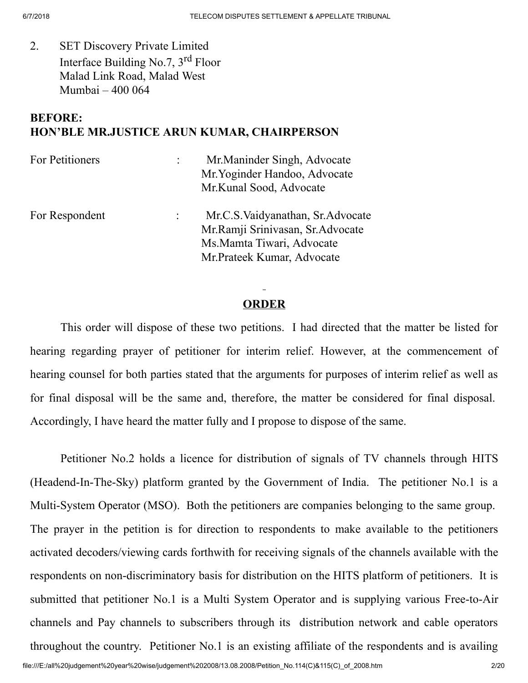2. SET Discovery Private Limited Interface Building No.7, 3<sup>rd</sup> Floor Malad Link Road, Malad West Mumbai – 400 064

## BEFORE: HON'BLE MR.JUSTICE ARUN KUMAR, CHAIRPERSON

| For Petitioners | Mr. Maninder Singh, Advocate<br>Mr. Yoginder Handoo, Advocate<br>Mr.Kunal Sood, Advocate                                            |
|-----------------|-------------------------------------------------------------------------------------------------------------------------------------|
| For Respondent  | Mr.C.S. Vaidyanathan, Sr. Advocate<br>Mr.Ramji Srinivasan, Sr.Advocate<br>Ms. Mamta Tiwari, Advocate<br>Mr. Prateek Kumar, Advocate |

## ORDER

This order will dispose of these two petitions. I had directed that the matter be listed for hearing regarding prayer of petitioner for interim relief. However, at the commencement of hearing counsel for both parties stated that the arguments for purposes of interim relief as well as for final disposal will be the same and, therefore, the matter be considered for final disposal. Accordingly, I have heard the matter fully and I propose to dispose of the same.

Petitioner No.2 holds a licence for distribution of signals of TV channels through HITS (Headend-In-The-Sky) platform granted by the Government of India. The petitioner No.1 is a Multi-System Operator (MSO). Both the petitioners are companies belonging to the same group. The prayer in the petition is for direction to respondents to make available to the petitioners activated decoders/viewing cards forthwith for receiving signals of the channels available with the respondents on non-discriminatory basis for distribution on the HITS platform of petitioners. It is submitted that petitioner No.1 is a Multi System Operator and is supplying various Free-to-Air channels and Pay channels to subscribers through its distribution network and cable operators throughout the country. Petitioner No.1 is an existing affiliate of the respondents and is availing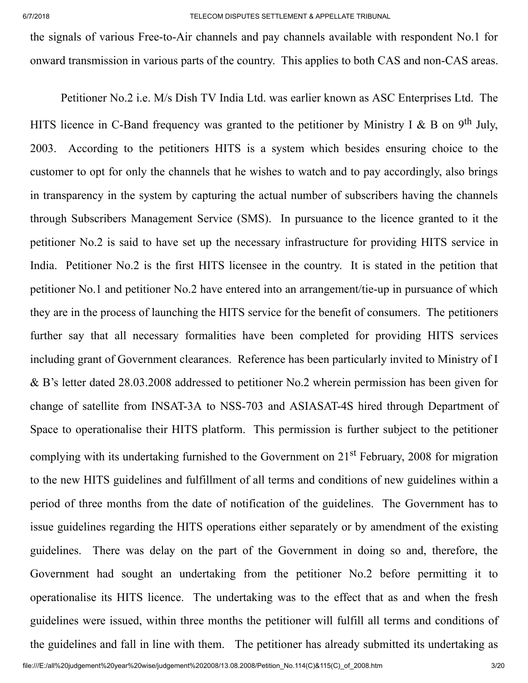the signals of various Free-to-Air channels and pay channels available with respondent No.1 for onward transmission in various parts of the country. This applies to both CAS and non-CAS areas.

Petitioner No.2 i.e. M/s Dish TV India Ltd. was earlier known as ASC Enterprises Ltd. The HITS licence in C-Band frequency was granted to the petitioner by Ministry I & B on 9<sup>th</sup> July, 2003. According to the petitioners HITS is a system which besides ensuring choice to the customer to opt for only the channels that he wishes to watch and to pay accordingly, also brings in transparency in the system by capturing the actual number of subscribers having the channels through Subscribers Management Service (SMS). In pursuance to the licence granted to it the petitioner No.2 is said to have set up the necessary infrastructure for providing HITS service in India. Petitioner No.2 is the first HITS licensee in the country. It is stated in the petition that petitioner No.1 and petitioner No.2 have entered into an arrangement/tie-up in pursuance of which they are in the process of launching the HITS service for the benefit of consumers. The petitioners further say that all necessary formalities have been completed for providing HITS services including grant of Government clearances. Reference has been particularly invited to Ministry of I & B's letter dated 28.03.2008 addressed to petitioner No.2 wherein permission has been given for change of satellite from INSAT-3A to NSS-703 and ASIASAT-4S hired through Department of Space to operationalise their HITS platform. This permission is further subject to the petitioner complying with its undertaking furnished to the Government on 21<sup>st</sup> February, 2008 for migration to the new HITS guidelines and fulfillment of all terms and conditions of new guidelines within a period of three months from the date of notification of the guidelines. The Government has to issue guidelines regarding the HITS operations either separately or by amendment of the existing guidelines. There was delay on the part of the Government in doing so and, therefore, the Government had sought an undertaking from the petitioner No.2 before permitting it to operationalise its HITS licence. The undertaking was to the effect that as and when the fresh guidelines were issued, within three months the petitioner will fulfill all terms and conditions of the guidelines and fall in line with them. The petitioner has already submitted its undertaking as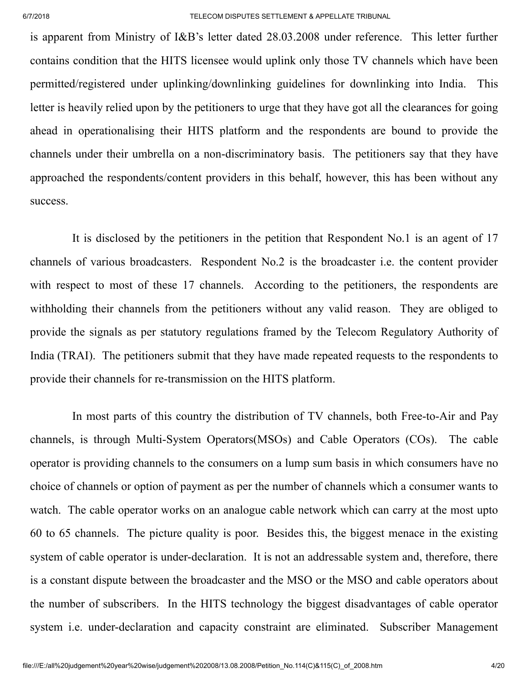is apparent from Ministry of I&B's letter dated 28.03.2008 under reference. This letter further contains condition that the HITS licensee would uplink only those TV channels which have been permitted/registered under uplinking/downlinking guidelines for downlinking into India. This letter is heavily relied upon by the petitioners to urge that they have got all the clearances for going ahead in operationalising their HITS platform and the respondents are bound to provide the channels under their umbrella on a non-discriminatory basis. The petitioners say that they have approached the respondents/content providers in this behalf, however, this has been without any success.

It is disclosed by the petitioners in the petition that Respondent No.1 is an agent of 17 channels of various broadcasters. Respondent No.2 is the broadcaster i.e. the content provider with respect to most of these 17 channels. According to the petitioners, the respondents are withholding their channels from the petitioners without any valid reason. They are obliged to provide the signals as per statutory regulations framed by the Telecom Regulatory Authority of India (TRAI). The petitioners submit that they have made repeated requests to the respondents to provide their channels for re-transmission on the HITS platform.

In most parts of this country the distribution of TV channels, both Free-to-Air and Pay channels, is through Multi-System Operators(MSOs) and Cable Operators (COs). The cable operator is providing channels to the consumers on a lump sum basis in which consumers have no choice of channels or option of payment as per the number of channels which a consumer wants to watch. The cable operator works on an analogue cable network which can carry at the most upto 60 to 65 channels. The picture quality is poor. Besides this, the biggest menace in the existing system of cable operator is under-declaration. It is not an addressable system and, therefore, there is a constant dispute between the broadcaster and the MSO or the MSO and cable operators about the number of subscribers. In the HITS technology the biggest disadvantages of cable operator system i.e. under-declaration and capacity constraint are eliminated. Subscriber Management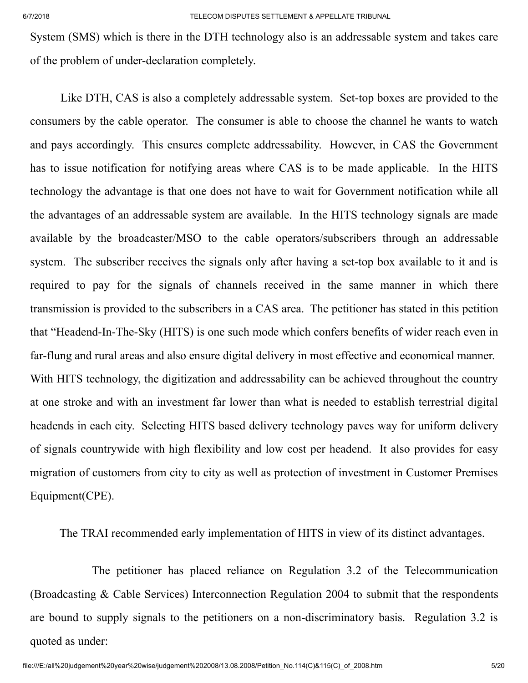System (SMS) which is there in the DTH technology also is an addressable system and takes care of the problem of under-declaration completely.

Like DTH, CAS is also a completely addressable system. Set-top boxes are provided to the consumers by the cable operator. The consumer is able to choose the channel he wants to watch and pays accordingly. This ensures complete addressability. However, in CAS the Government has to issue notification for notifying areas where CAS is to be made applicable. In the HITS technology the advantage is that one does not have to wait for Government notification while all the advantages of an addressable system are available. In the HITS technology signals are made available by the broadcaster/MSO to the cable operators/subscribers through an addressable system. The subscriber receives the signals only after having a set-top box available to it and is required to pay for the signals of channels received in the same manner in which there transmission is provided to the subscribers in a CAS area. The petitioner has stated in this petition that "Headend-In-The-Sky (HITS) is one such mode which confers benefits of wider reach even in far-flung and rural areas and also ensure digital delivery in most effective and economical manner. With HITS technology, the digitization and addressability can be achieved throughout the country at one stroke and with an investment far lower than what is needed to establish terrestrial digital headends in each city. Selecting HITS based delivery technology paves way for uniform delivery of signals countrywide with high flexibility and low cost per headend. It also provides for easy migration of customers from city to city as well as protection of investment in Customer Premises Equipment(CPE).

The TRAI recommended early implementation of HITS in view of its distinct advantages.

The petitioner has placed reliance on Regulation 3.2 of the Telecommunication (Broadcasting & Cable Services) Interconnection Regulation 2004 to submit that the respondents are bound to supply signals to the petitioners on a non-discriminatory basis. Regulation 3.2 is quoted as under: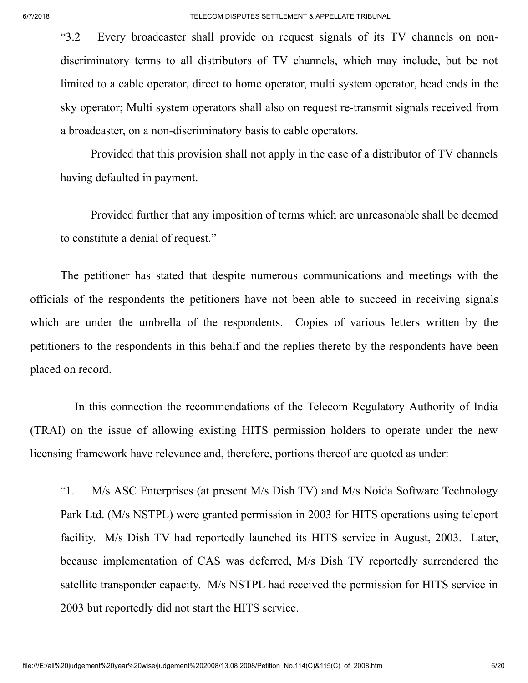"3.2 Every broadcaster shall provide on request signals of its TV channels on nondiscriminatory terms to all distributors of TV channels, which may include, but be not limited to a cable operator, direct to home operator, multi system operator, head ends in the sky operator; Multi system operators shall also on request re-transmit signals received from a broadcaster, on a non-discriminatory basis to cable operators.

Provided that this provision shall not apply in the case of a distributor of TV channels having defaulted in payment.

Provided further that any imposition of terms which are unreasonable shall be deemed to constitute a denial of request."

The petitioner has stated that despite numerous communications and meetings with the officials of the respondents the petitioners have not been able to succeed in receiving signals which are under the umbrella of the respondents. Copies of various letters written by the petitioners to the respondents in this behalf and the replies thereto by the respondents have been placed on record.

In this connection the recommendations of the Telecom Regulatory Authority of India (TRAI) on the issue of allowing existing HITS permission holders to operate under the new licensing framework have relevance and, therefore, portions thereof are quoted as under:

"1. M/s ASC Enterprises (at present M/s Dish TV) and M/s Noida Software Technology Park Ltd. (M/s NSTPL) were granted permission in 2003 for HITS operations using teleport facility. M/s Dish TV had reportedly launched its HITS service in August, 2003. Later, because implementation of CAS was deferred, M/s Dish TV reportedly surrendered the satellite transponder capacity. M/s NSTPL had received the permission for HITS service in 2003 but reportedly did not start the HITS service.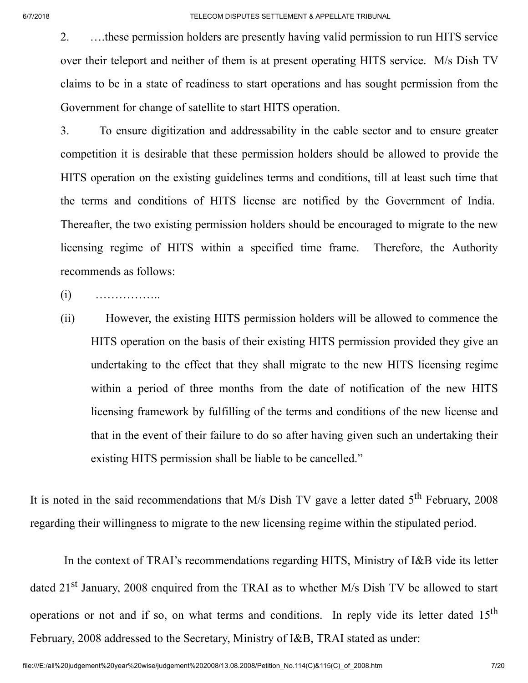2. ….these permission holders are presently having valid permission to run HITS service over their teleport and neither of them is at present operating HITS service. M/s Dish TV claims to be in a state of readiness to start operations and has sought permission from the Government for change of satellite to start HITS operation.

3. To ensure digitization and addressability in the cable sector and to ensure greater competition it is desirable that these permission holders should be allowed to provide the HITS operation on the existing guidelines terms and conditions, till at least such time that the terms and conditions of HITS license are notified by the Government of India. Thereafter, the two existing permission holders should be encouraged to migrate to the new licensing regime of HITS within a specified time frame. Therefore, the Authority recommends as follows:

- $(i)$  ………………
- (ii) However, the existing HITS permission holders will be allowed to commence the HITS operation on the basis of their existing HITS permission provided they give an undertaking to the effect that they shall migrate to the new HITS licensing regime within a period of three months from the date of notification of the new HITS licensing framework by fulfilling of the terms and conditions of the new license and that in the event of their failure to do so after having given such an undertaking their existing HITS permission shall be liable to be cancelled."

It is noted in the said recommendations that M/s Dish TV gave a letter dated  $5<sup>th</sup>$  February, 2008 regarding their willingness to migrate to the new licensing regime within the stipulated period.

In the context of TRAI's recommendations regarding HITS, Ministry of I&B vide its letter dated 21<sup>st</sup> January, 2008 enquired from the TRAI as to whether M/s Dish TV be allowed to start operations or not and if so, on what terms and conditions. In reply vide its letter dated  $15<sup>th</sup>$ February, 2008 addressed to the Secretary, Ministry of I&B, TRAI stated as under: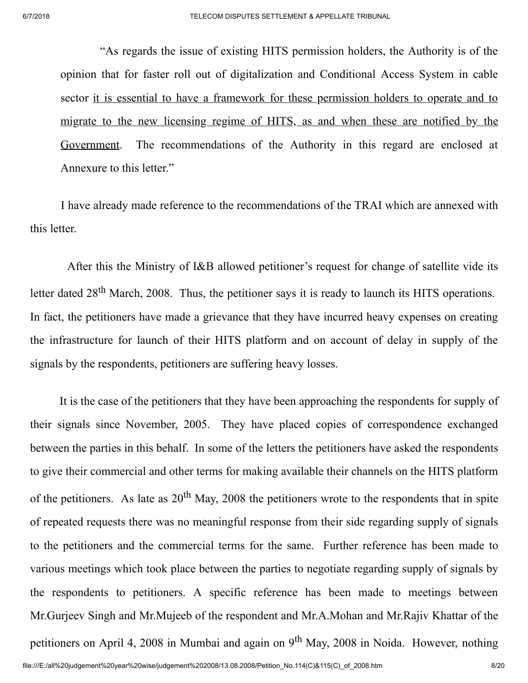"As regards the issue of existing HITS permission holders, the Authority is of the opinion that for faster roll out of digitalization and Conditional Access System in cable sector it is essential to have a framework for these permission holders to operate and to migrate to the new licensing regime of HITS, as and when these are notified by the Government. The recommendations of the Authority in this regard are enclosed at Annexure to this letter."

I have already made reference to the recommendations of the TRAI which are annexed with this letter.

After this the Ministry of I&B allowed petitioner's request for change of satellite vide its letter dated 28<sup>th</sup> March, 2008. Thus, the petitioner says it is ready to launch its HITS operations. In fact, the petitioners have made a grievance that they have incurred heavy expenses on creating the infrastructure for launch of their HITS platform and on account of delay in supply of the signals by the respondents, petitioners are suffering heavy losses.

It is the case of the petitioners that they have been approaching the respondents for supply of their signals since November, 2005. They have placed copies of correspondence exchanged between the parties in this behalf. In some of the letters the petitioners have asked the respondents to give their commercial and other terms for making available their channels on the HITS platform of the petitioners. As late as  $20<sup>th</sup>$  May, 2008 the petitioners wrote to the respondents that in spite of repeated requests there was no meaningful response from their side regarding supply of signals to the petitioners and the commercial terms for the same. Further reference has been made to various meetings which took place between the parties to negotiate regarding supply of signals by the respondents to petitioners. A specific reference has been made to meetings between Mr.Gurjeev Singh and Mr.Mujeeb of the respondent and Mr.A.Mohan and Mr.Rajiv Khattar of the petitioners on April 4, 2008 in Mumbai and again on 9<sup>th</sup> May, 2008 in Noida. However, nothing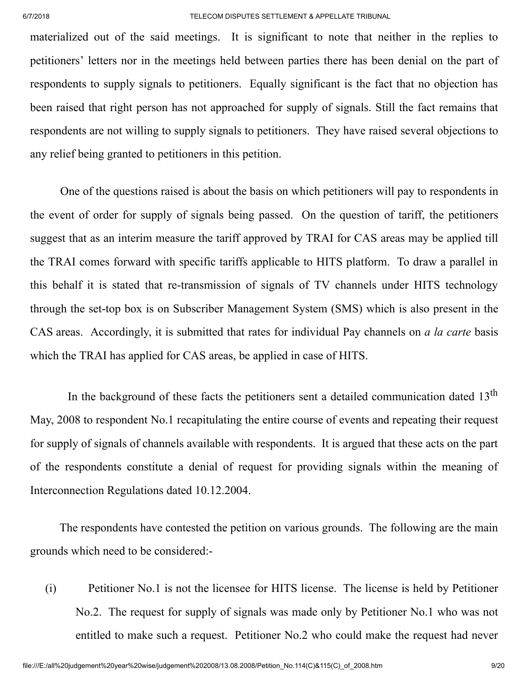materialized out of the said meetings. It is significant to note that neither in the replies to petitioners' letters nor in the meetings held between parties there has been denial on the part of respondents to supply signals to petitioners. Equally significant is the fact that no objection has been raised that right person has not approached for supply of signals. Still the fact remains that respondents are not willing to supply signals to petitioners. They have raised several objections to any relief being granted to petitioners in this petition.

One of the questions raised is about the basis on which petitioners will pay to respondents in the event of order for supply of signals being passed. On the question of tariff, the petitioners suggest that as an interim measure the tariff approved by TRAI for CAS areas may be applied till the TRAI comes forward with specific tariffs applicable to HITS platform. To draw a parallel in this behalf it is stated that re-transmission of signals of TV channels under HITS technology through the set-top box is on Subscriber Management System (SMS) which is also present in the CAS areas. Accordingly, it is submitted that rates for individual Pay channels on *a la carte* basis which the TRAI has applied for CAS areas, be applied in case of HITS.

In the background of these facts the petitioners sent a detailed communication dated 13<sup>th</sup> May, 2008 to respondent No.1 recapitulating the entire course of events and repeating their request for supply of signals of channels available with respondents. It is argued that these acts on the part of the respondents constitute a denial of request for providing signals within the meaning of Interconnection Regulations dated 10.12.2004.

The respondents have contested the petition on various grounds. The following are the main grounds which need to be considered:-

(i) Petitioner No.1 is not the licensee for HITS license. The license is held by Petitioner No.2. The request for supply of signals was made only by Petitioner No.1 who was not entitled to make such a request. Petitioner No.2 who could make the request had never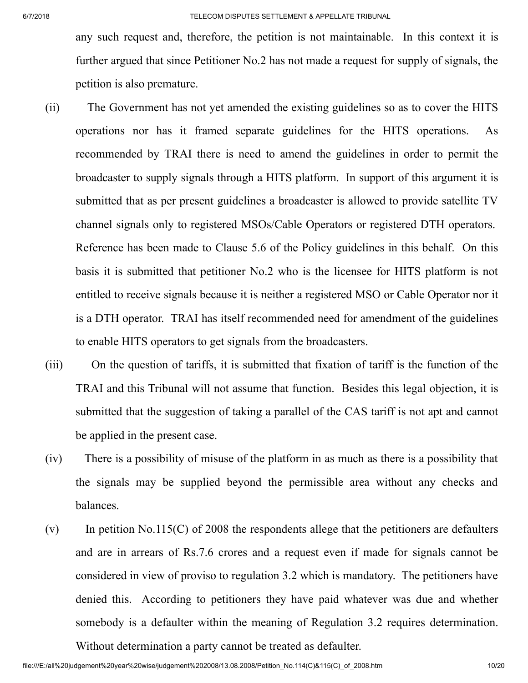any such request and, therefore, the petition is not maintainable. In this context it is further argued that since Petitioner No.2 has not made a request for supply of signals, the petition is also premature.

- (ii) The Government has not yet amended the existing guidelines so as to cover the HITS operations nor has it framed separate guidelines for the HITS operations. As recommended by TRAI there is need to amend the guidelines in order to permit the broadcaster to supply signals through a HITS platform. In support of this argument it is submitted that as per present guidelines a broadcaster is allowed to provide satellite TV channel signals only to registered MSOs/Cable Operators or registered DTH operators. Reference has been made to Clause 5.6 of the Policy guidelines in this behalf. On this basis it is submitted that petitioner No.2 who is the licensee for HITS platform is not entitled to receive signals because it is neither a registered MSO or Cable Operator nor it is a DTH operator. TRAI has itself recommended need for amendment of the guidelines to enable HITS operators to get signals from the broadcasters.
- (iii) On the question of tariffs, it is submitted that fixation of tariff is the function of the TRAI and this Tribunal will not assume that function. Besides this legal objection, it is submitted that the suggestion of taking a parallel of the CAS tariff is not apt and cannot be applied in the present case.
- (iv) There is a possibility of misuse of the platform in as much as there is a possibility that the signals may be supplied beyond the permissible area without any checks and balances.
- (v) In petition No.115(C) of 2008 the respondents allege that the petitioners are defaulters and are in arrears of Rs.7.6 crores and a request even if made for signals cannot be considered in view of proviso to regulation 3.2 which is mandatory. The petitioners have denied this. According to petitioners they have paid whatever was due and whether somebody is a defaulter within the meaning of Regulation 3.2 requires determination.

Without determination a party cannot be treated as defaulter.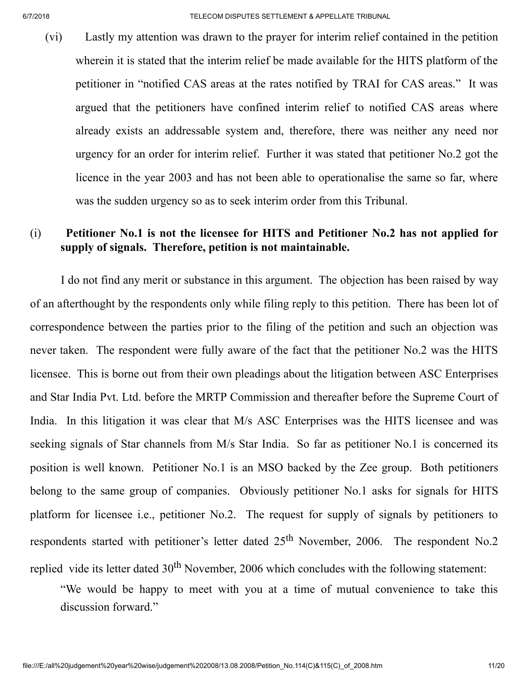(vi) Lastly my attention was drawn to the prayer for interim relief contained in the petition wherein it is stated that the interim relief be made available for the HITS platform of the petitioner in "notified CAS areas at the rates notified by TRAI for CAS areas." It was argued that the petitioners have confined interim relief to notified CAS areas where already exists an addressable system and, therefore, there was neither any need nor urgency for an order for interim relief. Further it was stated that petitioner No.2 got the licence in the year 2003 and has not been able to operationalise the same so far, where was the sudden urgency so as to seek interim order from this Tribunal.

## (i) Petitioner No.1 is not the licensee for HITS and Petitioner No.2 has not applied for supply of signals. Therefore, petition is not maintainable.

I do not find any merit or substance in this argument. The objection has been raised by way of an afterthought by the respondents only while filing reply to this petition. There has been lot of correspondence between the parties prior to the filing of the petition and such an objection was never taken. The respondent were fully aware of the fact that the petitioner No.2 was the HITS licensee. This is borne out from their own pleadings about the litigation between ASC Enterprises and Star India Pvt. Ltd. before the MRTP Commission and thereafter before the Supreme Court of India. In this litigation it was clear that M/s ASC Enterprises was the HITS licensee and was seeking signals of Star channels from M/s Star India. So far as petitioner No.1 is concerned its position is well known. Petitioner No.1 is an MSO backed by the Zee group. Both petitioners belong to the same group of companies. Obviously petitioner No.1 asks for signals for HITS platform for licensee i.e., petitioner No.2. The request for supply of signals by petitioners to respondents started with petitioner's letter dated  $25<sup>th</sup>$  November, 2006. The respondent No.2 replied vide its letter dated  $30<sup>th</sup>$  November, 2006 which concludes with the following statement:

"We would be happy to meet with you at a time of mutual convenience to take this discussion forward."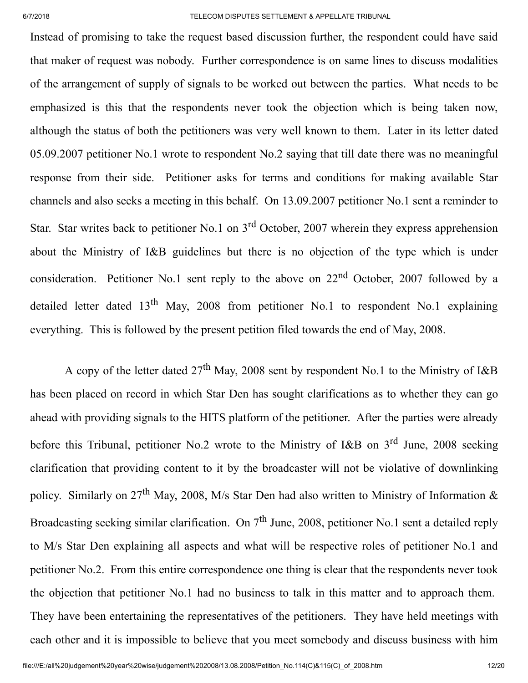Instead of promising to take the request based discussion further, the respondent could have said that maker of request was nobody. Further correspondence is on same lines to discuss modalities of the arrangement of supply of signals to be worked out between the parties. What needs to be emphasized is this that the respondents never took the objection which is being taken now, although the status of both the petitioners was very well known to them. Later in its letter dated 05.09.2007 petitioner No.1 wrote to respondent No.2 saying that till date there was no meaningful response from their side. Petitioner asks for terms and conditions for making available Star channels and also seeks a meeting in this behalf. On 13.09.2007 petitioner No.1 sent a reminder to Star. Star writes back to petitioner No.1 on 3<sup>rd</sup> October, 2007 wherein they express apprehension about the Ministry of I&B guidelines but there is no objection of the type which is under consideration. Petitioner No.1 sent reply to the above on  $22<sup>nd</sup>$  October, 2007 followed by a detailed letter dated  $13<sup>th</sup>$  May, 2008 from petitioner No.1 to respondent No.1 explaining everything. This is followed by the present petition filed towards the end of May, 2008.

A copy of the letter dated  $27<sup>th</sup>$  May, 2008 sent by respondent No.1 to the Ministry of I&B has been placed on record in which Star Den has sought clarifications as to whether they can go ahead with providing signals to the HITS platform of the petitioner. After the parties were already before this Tribunal, petitioner No.2 wrote to the Ministry of I&B on 3<sup>rd</sup> June, 2008 seeking clarification that providing content to it by the broadcaster will not be violative of downlinking policy. Similarly on 27<sup>th</sup> May, 2008, M/s Star Den had also written to Ministry of Information  $\&$ Broadcasting seeking similar clarification. On  $7<sup>th</sup>$  June, 2008, petitioner No.1 sent a detailed reply to M/s Star Den explaining all aspects and what will be respective roles of petitioner No.1 and petitioner No.2. From this entire correspondence one thing is clear that the respondents never took the objection that petitioner No.1 had no business to talk in this matter and to approach them. They have been entertaining the representatives of the petitioners. They have held meetings with each other and it is impossible to believe that you meet somebody and discuss business with him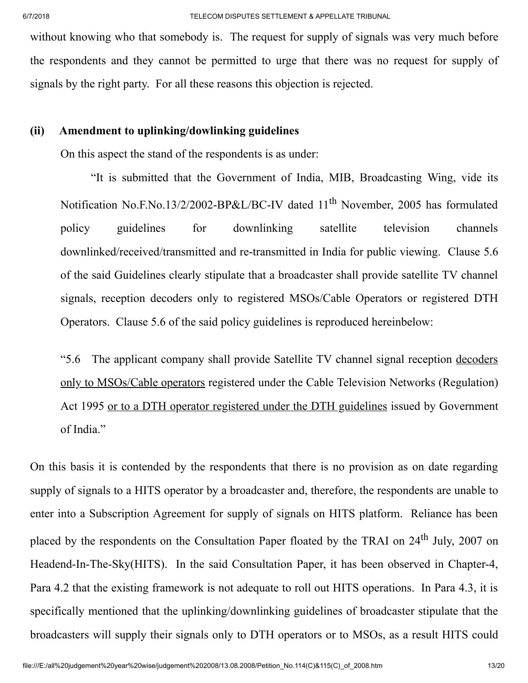without knowing who that somebody is. The request for supply of signals was very much before the respondents and they cannot be permitted to urge that there was no request for supply of signals by the right party. For all these reasons this objection is rejected.

### (ii) Amendment to uplinking/dowlinking guidelines

On this aspect the stand of the respondents is as under:

"It is submitted that the Government of India, MIB, Broadcasting Wing, vide its Notification No.F.No.13/2/2002-BP&L/BC-IV dated 11<sup>th</sup> November, 2005 has formulated policy guidelines for downlinking satellite television channels downlinked/received/transmitted and re-transmitted in India for public viewing. Clause 5.6 of the said Guidelines clearly stipulate that a broadcaster shall provide satellite TV channel signals, reception decoders only to registered MSOs/Cable Operators or registered DTH Operators. Clause 5.6 of the said policy guidelines is reproduced hereinbelow:

"5.6 The applicant company shall provide Satellite TV channel signal reception decoders only to MSOs/Cable operators registered under the Cable Television Networks (Regulation) Act 1995 or to a DTH operator registered under the DTH guidelines issued by Government of India."

On this basis it is contended by the respondents that there is no provision as on date regarding supply of signals to a HITS operator by a broadcaster and, therefore, the respondents are unable to enter into a Subscription Agreement for supply of signals on HITS platform. Reliance has been placed by the respondents on the Consultation Paper floated by the TRAI on 24<sup>th</sup> July, 2007 on Headend-In-The-Sky(HITS). In the said Consultation Paper, it has been observed in Chapter-4, Para 4.2 that the existing framework is not adequate to roll out HITS operations. In Para 4.3, it is specifically mentioned that the uplinking/downlinking guidelines of broadcaster stipulate that the broadcasters will supply their signals only to DTH operators or to MSOs, as a result HITS could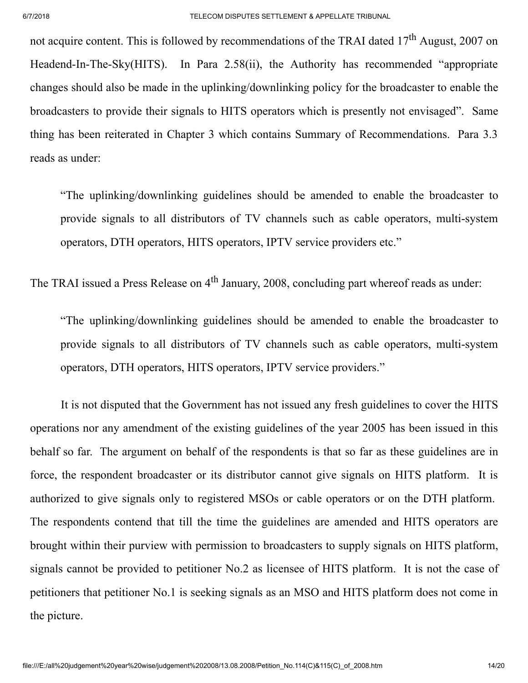not acquire content. This is followed by recommendations of the TRAI dated 17<sup>th</sup> August, 2007 on Headend-In-The-Sky(HITS). In Para 2.58(ii), the Authority has recommended "appropriate changes should also be made in the uplinking/downlinking policy for the broadcaster to enable the broadcasters to provide their signals to HITS operators which is presently not envisaged". Same thing has been reiterated in Chapter 3 which contains Summary of Recommendations. Para 3.3 reads as under:

"The uplinking/downlinking guidelines should be amended to enable the broadcaster to provide signals to all distributors of TV channels such as cable operators, multi-system operators, DTH operators, HITS operators, IPTV service providers etc."

The TRAI issued a Press Release on 4<sup>th</sup> January, 2008, concluding part whereof reads as under:

"The uplinking/downlinking guidelines should be amended to enable the broadcaster to provide signals to all distributors of TV channels such as cable operators, multi-system operators, DTH operators, HITS operators, IPTV service providers."

It is not disputed that the Government has not issued any fresh guidelines to cover the HITS operations nor any amendment of the existing guidelines of the year 2005 has been issued in this behalf so far. The argument on behalf of the respondents is that so far as these guidelines are in force, the respondent broadcaster or its distributor cannot give signals on HITS platform. It is authorized to give signals only to registered MSOs or cable operators or on the DTH platform. The respondents contend that till the time the guidelines are amended and HITS operators are brought within their purview with permission to broadcasters to supply signals on HITS platform, signals cannot be provided to petitioner No.2 as licensee of HITS platform. It is not the case of petitioners that petitioner No.1 is seeking signals as an MSO and HITS platform does not come in the picture.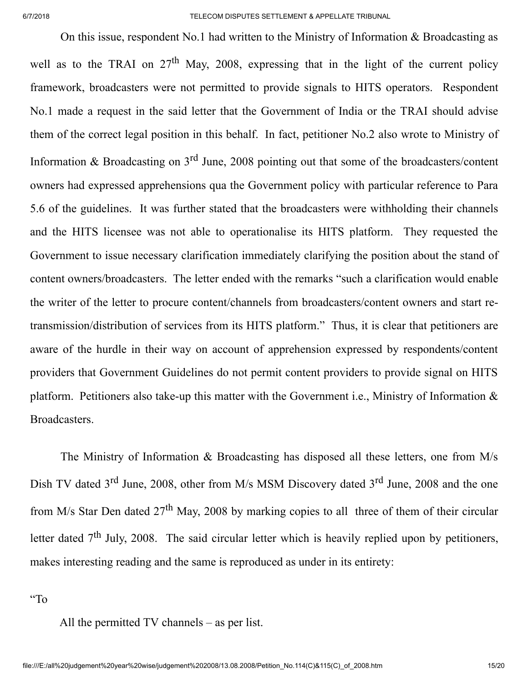On this issue, respondent No.1 had written to the Ministry of Information & Broadcasting as well as to the TRAI on  $27<sup>th</sup>$  May, 2008, expressing that in the light of the current policy framework, broadcasters were not permitted to provide signals to HITS operators. Respondent No.1 made a request in the said letter that the Government of India or the TRAI should advise them of the correct legal position in this behalf. In fact, petitioner No.2 also wrote to Ministry of Information & Broadcasting on  $3<sup>rd</sup>$  June, 2008 pointing out that some of the broadcasters/content owners had expressed apprehensions qua the Government policy with particular reference to Para 5.6 of the guidelines. It was further stated that the broadcasters were withholding their channels and the HITS licensee was not able to operationalise its HITS platform. They requested the Government to issue necessary clarification immediately clarifying the position about the stand of content owners/broadcasters. The letter ended with the remarks "such a clarification would enable the writer of the letter to procure content/channels from broadcasters/content owners and start retransmission/distribution of services from its HITS platform." Thus, it is clear that petitioners are aware of the hurdle in their way on account of apprehension expressed by respondents/content providers that Government Guidelines do not permit content providers to provide signal on HITS platform. Petitioners also take-up this matter with the Government i.e., Ministry of Information & Broadcasters.

The Ministry of Information & Broadcasting has disposed all these letters, one from M/s Dish TV dated 3<sup>rd</sup> June, 2008, other from M/s MSM Discovery dated 3<sup>rd</sup> June, 2008 and the one from M/s Star Den dated 27<sup>th</sup> May, 2008 by marking copies to all three of them of their circular letter dated  $7<sup>th</sup>$  July, 2008. The said circular letter which is heavily replied upon by petitioners, makes interesting reading and the same is reproduced as under in its entirety:

"To

All the permitted TV channels – as per list.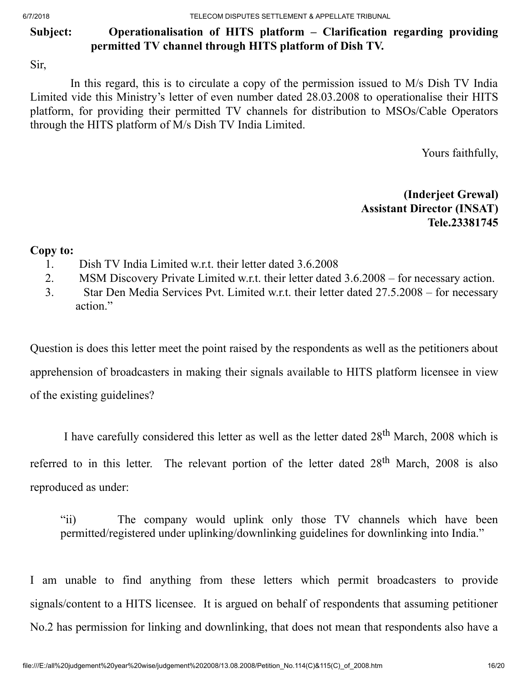6/7/2018 TELECOM DISPUTES SETTLEMENT & APPELLATE TRIBUNAL

# Subject: Operationalisation of HITS platform – Clarification regarding providing permitted TV channel through HITS platform of Dish TV.

Sir,

In this regard, this is to circulate a copy of the permission issued to M/s Dish TV India Limited vide this Ministry's letter of even number dated 28.03.2008 to operationalise their HITS platform, for providing their permitted TV channels for distribution to MSOs/Cable Operators through the HITS platform of M/s Dish TV India Limited.

Yours faithfully,

(Inderjeet Grewal) Assistant Director (INSAT) Tele.23381745

## Copy to:

- 1. Dish TV India Limited w.r.t. their letter dated 3.6.2008
- 2. MSM Discovery Private Limited w.r.t. their letter dated 3.6.2008 for necessary action.
- 3. Star Den Media Services Pvt. Limited w.r.t. their letter dated 27.5.2008 for necessary action."

Question is does this letter meet the point raised by the respondents as well as the petitioners about apprehension of broadcasters in making their signals available to HITS platform licensee in view of the existing guidelines?

I have carefully considered this letter as well as the letter dated 28<sup>th</sup> March, 2008 which is referred to in this letter. The relevant portion of the letter dated 28<sup>th</sup> March, 2008 is also reproduced as under:

"ii) The company would uplink only those TV channels which have been permitted/registered under uplinking/downlinking guidelines for downlinking into India."

I am unable to find anything from these letters which permit broadcasters to provide signals/content to a HITS licensee. It is argued on behalf of respondents that assuming petitioner No.2 has permission for linking and downlinking, that does not mean that respondents also have a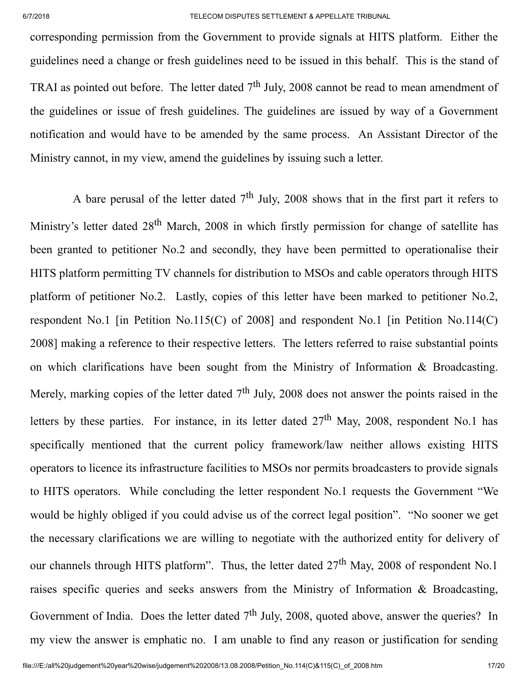corresponding permission from the Government to provide signals at HITS platform. Either the guidelines need a change or fresh guidelines need to be issued in this behalf. This is the stand of TRAI as pointed out before. The letter dated  $7<sup>th</sup>$  July, 2008 cannot be read to mean amendment of the guidelines or issue of fresh guidelines. The guidelines are issued by way of a Government notification and would have to be amended by the same process. An Assistant Director of the Ministry cannot, in my view, amend the guidelines by issuing such a letter.

A bare perusal of the letter dated  $7<sup>th</sup>$  July, 2008 shows that in the first part it refers to Ministry's letter dated 28<sup>th</sup> March, 2008 in which firstly permission for change of satellite has been granted to petitioner No.2 and secondly, they have been permitted to operationalise their HITS platform permitting TV channels for distribution to MSOs and cable operators through HITS platform of petitioner No.2. Lastly, copies of this letter have been marked to petitioner No.2, respondent No.1 [in Petition No.115(C) of 2008] and respondent No.1 [in Petition No.114(C) 2008] making a reference to their respective letters. The letters referred to raise substantial points on which clarifications have been sought from the Ministry of Information & Broadcasting. Merely, marking copies of the letter dated  $7<sup>th</sup>$  July, 2008 does not answer the points raised in the letters by these parties. For instance, in its letter dated  $27<sup>th</sup>$  May, 2008, respondent No.1 has specifically mentioned that the current policy framework/law neither allows existing HITS operators to licence its infrastructure facilities to MSOs nor permits broadcasters to provide signals to HITS operators. While concluding the letter respondent No.1 requests the Government "We would be highly obliged if you could advise us of the correct legal position". "No sooner we get the necessary clarifications we are willing to negotiate with the authorized entity for delivery of our channels through HITS platform". Thus, the letter dated  $27<sup>th</sup>$  May, 2008 of respondent No.1 raises specific queries and seeks answers from the Ministry of Information & Broadcasting, Government of India. Does the letter dated  $7<sup>th</sup>$  July, 2008, quoted above, answer the queries? In my view the answer is emphatic no. I am unable to find any reason or justification for sending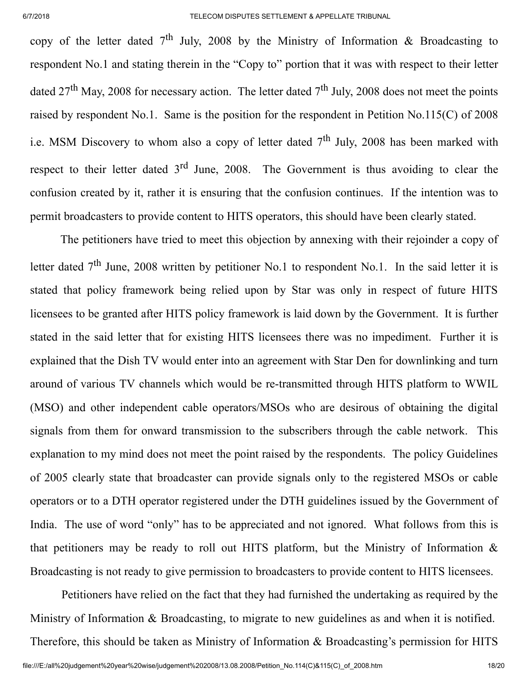copy of the letter dated  $7<sup>th</sup>$  July, 2008 by the Ministry of Information & Broadcasting to respondent No.1 and stating therein in the "Copy to" portion that it was with respect to their letter dated  $27<sup>th</sup>$  May, 2008 for necessary action. The letter dated  $7<sup>th</sup>$  July, 2008 does not meet the points raised by respondent No.1. Same is the position for the respondent in Petition No.115(C) of 2008 i.e. MSM Discovery to whom also a copy of letter dated  $7<sup>th</sup>$  July, 2008 has been marked with respect to their letter dated  $3<sup>rd</sup>$  June, 2008. The Government is thus avoiding to clear the confusion created by it, rather it is ensuring that the confusion continues. If the intention was to permit broadcasters to provide content to HITS operators, this should have been clearly stated.

The petitioners have tried to meet this objection by annexing with their rejoinder a copy of letter dated  $7<sup>th</sup>$  June, 2008 written by petitioner No.1 to respondent No.1. In the said letter it is stated that policy framework being relied upon by Star was only in respect of future HITS licensees to be granted after HITS policy framework is laid down by the Government. It is further stated in the said letter that for existing HITS licensees there was no impediment. Further it is explained that the Dish TV would enter into an agreement with Star Den for downlinking and turn around of various TV channels which would be re-transmitted through HITS platform to WWIL (MSO) and other independent cable operators/MSOs who are desirous of obtaining the digital signals from them for onward transmission to the subscribers through the cable network. This explanation to my mind does not meet the point raised by the respondents. The policy Guidelines of 2005 clearly state that broadcaster can provide signals only to the registered MSOs or cable operators or to a DTH operator registered under the DTH guidelines issued by the Government of India. The use of word "only" has to be appreciated and not ignored. What follows from this is that petitioners may be ready to roll out HITS platform, but the Ministry of Information  $\&$ Broadcasting is not ready to give permission to broadcasters to provide content to HITS licensees.

Petitioners have relied on the fact that they had furnished the undertaking as required by the Ministry of Information & Broadcasting, to migrate to new guidelines as and when it is notified. Therefore, this should be taken as Ministry of Information & Broadcasting's permission for HITS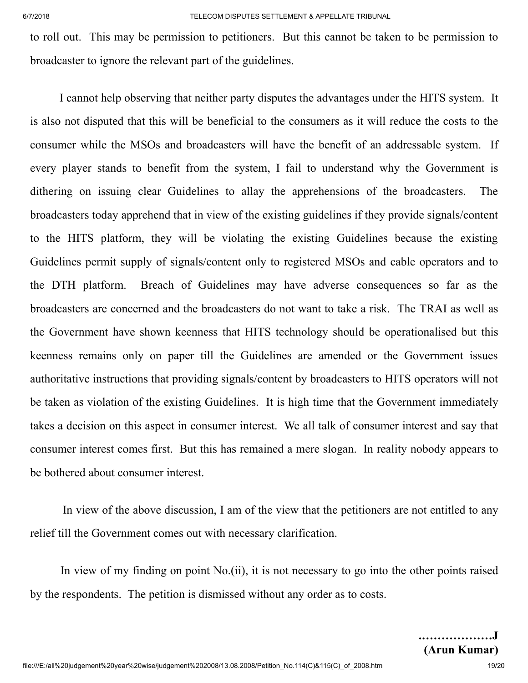to roll out. This may be permission to petitioners. But this cannot be taken to be permission to broadcaster to ignore the relevant part of the guidelines.

I cannot help observing that neither party disputes the advantages under the HITS system. It is also not disputed that this will be beneficial to the consumers as it will reduce the costs to the consumer while the MSOs and broadcasters will have the benefit of an addressable system. If every player stands to benefit from the system, I fail to understand why the Government is dithering on issuing clear Guidelines to allay the apprehensions of the broadcasters. The broadcasters today apprehend that in view of the existing guidelines if they provide signals/content to the HITS platform, they will be violating the existing Guidelines because the existing Guidelines permit supply of signals/content only to registered MSOs and cable operators and to the DTH platform. Breach of Guidelines may have adverse consequences so far as the broadcasters are concerned and the broadcasters do not want to take a risk. The TRAI as well as the Government have shown keenness that HITS technology should be operationalised but this keenness remains only on paper till the Guidelines are amended or the Government issues authoritative instructions that providing signals/content by broadcasters to HITS operators will not be taken as violation of the existing Guidelines. It is high time that the Government immediately takes a decision on this aspect in consumer interest. We all talk of consumer interest and say that consumer interest comes first. But this has remained a mere slogan. In reality nobody appears to be bothered about consumer interest.

In view of the above discussion, I am of the view that the petitioners are not entitled to any relief till the Government comes out with necessary clarification.

In view of my finding on point No.(ii), it is not necessary to go into the other points raised by the respondents. The petition is dismissed without any order as to costs.

.………………J (Arun Kumar)